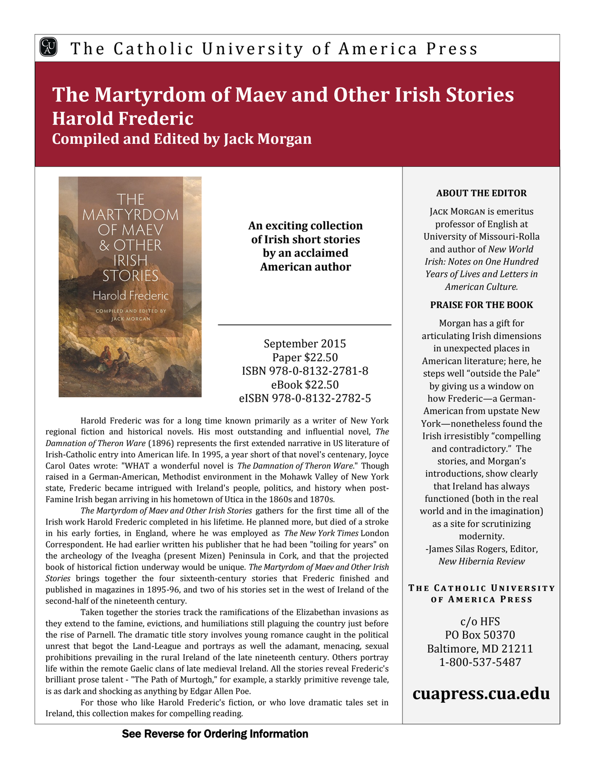### $\begin{pmatrix} C_{1} \ A \end{pmatrix}$ The Catholic University of America Press

## **The Martyrdom of Maev and Other Irish Stories Harold Frederic Compiled and Edited by Jack Morgan**



**An exciting collection of Irish short stories by an acclaimed American author**

September 2015 Paper \$22.50 ISBN 978-0-8132-2781-8 eBook \$22.50 eISBN 978-0-8132-2782-5

Harold Frederic was for a long time known primarily as a writer of New York regional fiction and historical novels. His most outstanding and influential novel, *The Damnation of Theron Ware* (1896) represents the first extended narrative in US literature of Irish-Catholic entry into American life. In 1995, a year short of that novel's centenary, Joyce Carol Oates wrote: "WHAT a wonderful novel is *The Damnation of Theron Ware*." Though raised in a German-American, Methodist environment in the Mohawk Valley of New York state, Frederic became intrigued with Ireland's people, politics, and history when post-Famine Irish began arriving in his hometown of Utica in the 1860s and 1870s.

*The Martyrdom of Maev and Other Irish Stories* gathers for the first time all of the Irish work Harold Frederic completed in his lifetime. He planned more, but died of a stroke in his early forties, in England, where he was employed as *The New York Times* London Correspondent. He had earlier written his publisher that he had been "toiling for years" on the archeology of the Iveagha (present Mizen) Peninsula in Cork, and that the projected book of historical fiction underway would be unique. *The Martyrdom of Maev and Other Irish Stories* brings together the four sixteenth-century stories that Frederic finished and published in magazines in 1895-96, and two of his stories set in the west of Ireland of the second-half of the nineteenth century.

Taken together the stories track the ramifications of the Elizabethan invasions as they extend to the famine, evictions, and humiliations still plaguing the country just before the rise of Parnell. The dramatic title story involves young romance caught in the political unrest that begot the Land-League and portrays as well the adamant, menacing, sexual prohibitions prevailing in the rural Ireland of the late nineteenth century. Others portray life within the remote Gaelic clans of late medieval Ireland. All the stories reveal Frederic's brilliant prose talent - "The Path of Murtogh," for example, a starkly primitive revenge tale, is as dark and shocking as anything by Edgar Allen Poe.

For those who like Harold Frederic's fiction, or who love dramatic tales set in Ireland, this collection makes for compelling reading.

#### **ABOUT THE EDITOR**

Jack Morgan is emeritus professor of English at University of Missouri-Rolla and author of *New World Irish: Notes on One Hundred Years of Lives and Letters in American Culture.* 

### **PRAISE FOR THE BOOK**

Morgan has a gift for articulating Irish dimensions in unexpected places in American literature; here, he steps well "outside the Pale" by giving us a window on how Frederic—a German-American from upstate New York—nonetheless found the Irish irresistibly "compelling and contradictory." The stories, and Morgan's introductions, show clearly that Ireland has always functioned (both in the real world and in the imagination) as a site for scrutinizing modernity. -James Silas Rogers, Editor, *New Hibernia Review* 

#### **THE CATHOLIC UNIVERSITY OF AMERICA PRESS**

c/o HFS PO Box 50370 Baltimore, MD 21211 1-800-537-5487

**cuapress.cua.edu**